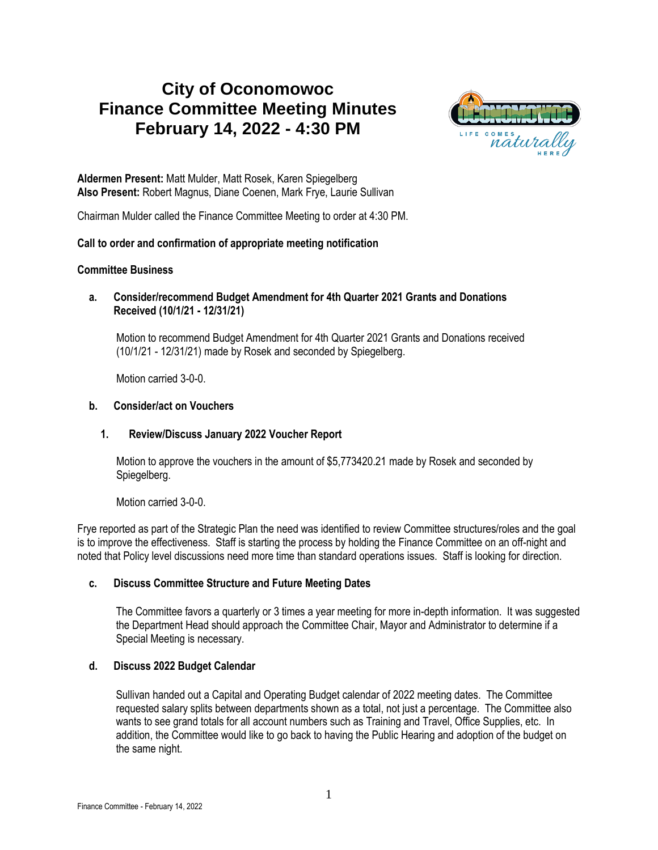# **City of Oconomowoc Finance Committee Meeting Minutes February 14, 2022 - 4:30 PM**



**Aldermen Present:** Matt Mulder, Matt Rosek, Karen Spiegelberg **Also Present:** Robert Magnus, Diane Coenen, Mark Frye, Laurie Sullivan

Chairman Mulder called the Finance Committee Meeting to order at 4:30 PM.

### **Call to order and confirmation of appropriate meeting notification**

#### **Committee Business**

**a. Consider/recommend Budget Amendment for 4th Quarter 2021 Grants and Donations Received (10/1/21 - 12/31/21)**

Motion to recommend Budget Amendment for 4th Quarter 2021 Grants and Donations received (10/1/21 - 12/31/21) made by Rosek and seconded by Spiegelberg.

Motion carried 3-0-0.

#### **b. Consider/act on Vouchers**

### **1. Review/Discuss January 2022 Voucher Report**

Motion to approve the vouchers in the amount of \$5,773420.21 made by Rosek and seconded by Spiegelberg.

Motion carried 3-0-0.

Frye reported as part of the Strategic Plan the need was identified to review Committee structures/roles and the goal is to improve the effectiveness. Staff is starting the process by holding the Finance Committee on an off-night and noted that Policy level discussions need more time than standard operations issues. Staff is looking for direction.

### **c. Discuss Committee Structure and Future Meeting Dates**

The Committee favors a quarterly or 3 times a year meeting for more in-depth information. It was suggested the Department Head should approach the Committee Chair, Mayor and Administrator to determine if a Special Meeting is necessary.

### **d. Discuss 2022 Budget Calendar**

Sullivan handed out a Capital and Operating Budget calendar of 2022 meeting dates. The Committee requested salary splits between departments shown as a total, not just a percentage. The Committee also wants to see grand totals for all account numbers such as Training and Travel, Office Supplies, etc. In addition, the Committee would like to go back to having the Public Hearing and adoption of the budget on the same night.